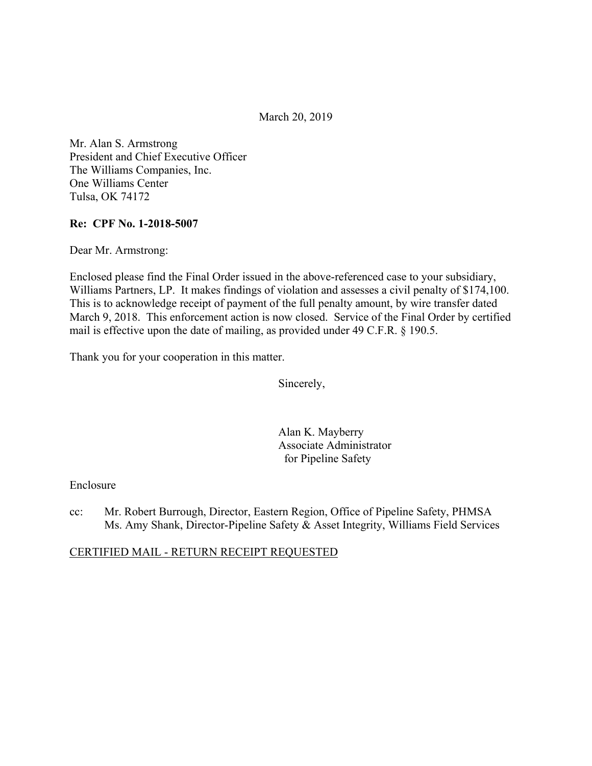March 20, 2019

Mr. Alan S. Armstrong President and Chief Executive Officer The Williams Companies, Inc. One Williams Center Tulsa, OK 74172

### **Re: CPF No. 1-2018-5007**

Dear Mr. Armstrong:

Enclosed please find the Final Order issued in the above-referenced case to your subsidiary, Williams Partners, LP. It makes findings of violation and assesses a civil penalty of \$174,100. This is to acknowledge receipt of payment of the full penalty amount, by wire transfer dated March 9, 2018. This enforcement action is now closed. Service of the Final Order by certified mail is effective upon the date of mailing, as provided under 49 C.F.R. § 190.5.

Thank you for your cooperation in this matter.

Sincerely,

Alan K. Mayberry Associate Administrator for Pipeline Safety

### Enclosure

cc: Mr. Robert Burrough, Director, Eastern Region, Office of Pipeline Safety, PHMSA Ms. Amy Shank, Director-Pipeline Safety & Asset Integrity, Williams Field Services

CERTIFIED MAIL - RETURN RECEIPT REQUESTED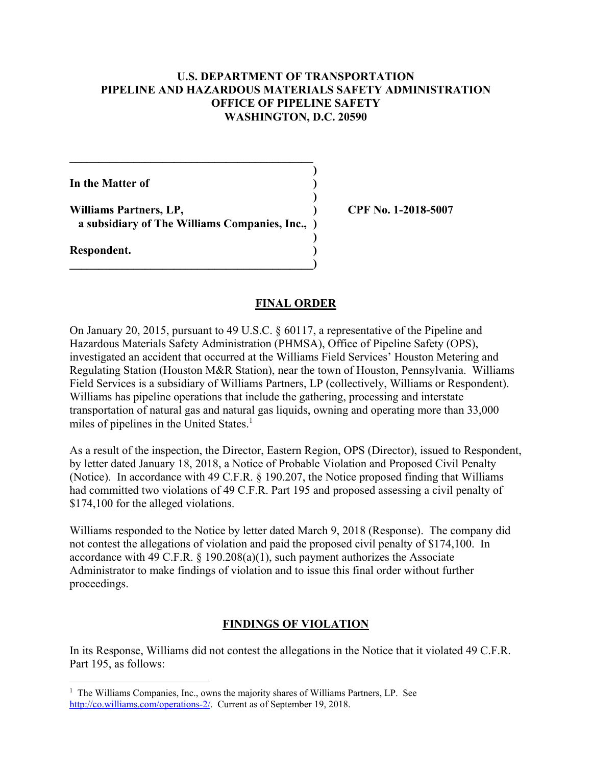### **U.S. DEPARTMENT OF TRANSPORTATION PIPELINE AND HAZARDOUS MATERIALS SAFETY ADMINISTRATION OFFICE OF PIPELINE SAFETY WASHINGTON, D.C. 20590**

 **)**

 **)**

 **)**

**In the Matter of )**

 **a subsidiary of The Williams Companies, Inc., ) Williams Partners, LP, ) CPF No. 1-2018-5007** 

**\_\_\_\_\_\_\_\_\_\_\_\_\_\_\_\_\_\_\_\_\_\_\_\_\_\_\_\_\_\_\_\_\_\_\_\_\_\_\_\_\_\_)** 

 $\mathcal{L} = \{ \mathcal{L} \}$ 

**Respondent. )** 

 $\overline{a}$ 

### **FINAL ORDER**

On January 20, 2015, pursuant to 49 U.S.C. § 60117, a representative of the Pipeline and Hazardous Materials Safety Administration (PHMSA), Office of Pipeline Safety (OPS), investigated an accident that occurred at the Williams Field Services' Houston Metering and Regulating Station (Houston M&R Station), near the town of Houston, Pennsylvania. Williams Field Services is a subsidiary of Williams Partners, LP (collectively, Williams or Respondent). Williams has pipeline operations that include the gathering, processing and interstate transportation of natural gas and natural gas liquids, owning and operating more than 33,000 miles of pipelines in the United States.<sup>1</sup>

As a result of the inspection, the Director, Eastern Region, OPS (Director), issued to Respondent, by letter dated January 18, 2018, a Notice of Probable Violation and Proposed Civil Penalty (Notice). In accordance with 49 C.F.R. § 190.207, the Notice proposed finding that Williams had committed two violations of 49 C.F.R. Part 195 and proposed assessing a civil penalty of \$174,100 for the alleged violations.

Williams responded to the Notice by letter dated March 9, 2018 (Response). The company did not contest the allegations of violation and paid the proposed civil penalty of \$174,100. In accordance with 49 C.F.R.  $\S$  190.208(a)(1), such payment authorizes the Associate Administrator to make findings of violation and to issue this final order without further proceedings.

# **FINDINGS OF VIOLATION**

In its Response, Williams did not contest the allegations in the Notice that it violated 49 C.F.R. Part 195, as follows:

<sup>&</sup>lt;sup>1</sup> The Williams Companies, Inc., owns the majority shares of Williams Partners, LP. See [http://co.williams.com/operations-2/](http://co.williams.com/operations-2). Current as of September 19, 2018.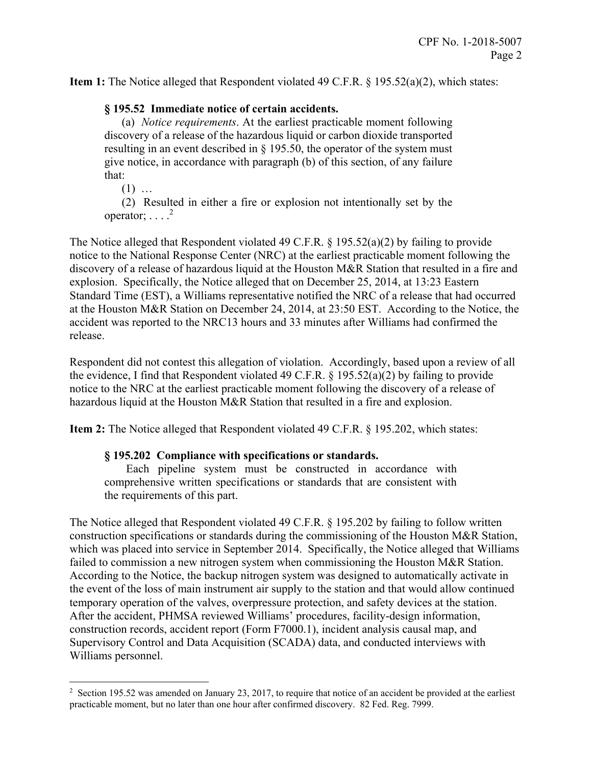**Item 1:** The Notice alleged that Respondent violated 49 C.F.R. § 195.52(a)(2), which states:

# **§ 195.52 Immediate notice of certain accidents.**

 (a) *Notice requirements*. At the earliest practicable moment following discovery of a release of the hazardous liquid or carbon dioxide transported resulting in an event described in § 195.50, the operator of the system must give notice, in accordance with paragraph (b) of this section, of any failure that:

 $(1)$  …

 $\overline{a}$ 

(2) Resulted in either a fire or explosion not intentionally set by the operator;  $\ldots$ .<sup>2</sup>

The Notice alleged that Respondent violated 49 C.F.R. § 195.52(a)(2) by failing to provide notice to the National Response Center (NRC) at the earliest practicable moment following the discovery of a release of hazardous liquid at the Houston M&R Station that resulted in a fire and explosion. Specifically, the Notice alleged that on December 25, 2014, at 13:23 Eastern Standard Time (EST), a Williams representative notified the NRC of a release that had occurred at the Houston M&R Station on December 24, 2014, at 23:50 EST. According to the Notice, the accident was reported to the NRC13 hours and 33 minutes after Williams had confirmed the release.

Respondent did not contest this allegation of violation. Accordingly, based upon a review of all the evidence, I find that Respondent violated 49 C.F.R.  $\S$  195.52(a)(2) by failing to provide notice to the NRC at the earliest practicable moment following the discovery of a release of hazardous liquid at the Houston M&R Station that resulted in a fire and explosion.

**Item 2:** The Notice alleged that Respondent violated 49 C.F.R. § 195.202, which states:

### **§ 195.202 Compliance with specifications or standards.**

Each pipeline system must be constructed in accordance with comprehensive written specifications or standards that are consistent with the requirements of this part.

The Notice alleged that Respondent violated 49 C.F.R. § 195.202 by failing to follow written construction specifications or standards during the commissioning of the Houston M&R Station, which was placed into service in September 2014. Specifically, the Notice alleged that Williams failed to commission a new nitrogen system when commissioning the Houston M&R Station. According to the Notice, the backup nitrogen system was designed to automatically activate in the event of the loss of main instrument air supply to the station and that would allow continued temporary operation of the valves, overpressure protection, and safety devices at the station. After the accident, PHMSA reviewed Williams' procedures, facility-design information, construction records, accident report (Form F7000.1), incident analysis causal map, and Supervisory Control and Data Acquisition (SCADA) data, and conducted interviews with Williams personnel.

 practicable moment, but no later than one hour after confirmed discovery. 82 Fed. Reg. 7999.<sup>2</sup> Section 195.52 was amended on January 23, 2017, to require that notice of an accident be provided at the earliest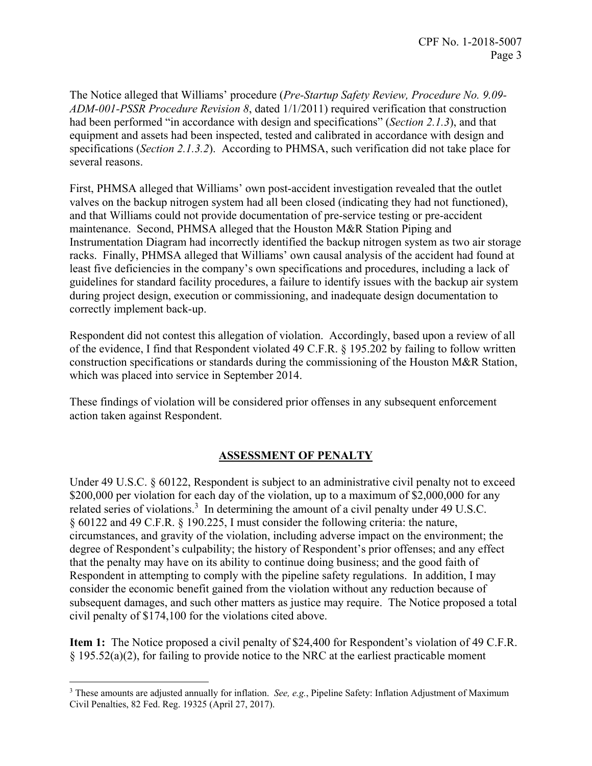The Notice alleged that Williams' procedure (*Pre-Startup Safety Review, Procedure No. 9.09- ADM-001-PSSR Procedure Revision 8*, dated 1/1/2011) required verification that construction had been performed "in accordance with design and specifications" (*Section 2.1.3*), and that equipment and assets had been inspected, tested and calibrated in accordance with design and specifications (*Section 2.1.3.2*). According to PHMSA, such verification did not take place for several reasons.

First, PHMSA alleged that Williams' own post-accident investigation revealed that the outlet valves on the backup nitrogen system had all been closed (indicating they had not functioned), and that Williams could not provide documentation of pre-service testing or pre-accident maintenance. Second, PHMSA alleged that the Houston M&R Station Piping and Instrumentation Diagram had incorrectly identified the backup nitrogen system as two air storage racks. Finally, PHMSA alleged that Williams' own causal analysis of the accident had found at least five deficiencies in the company's own specifications and procedures, including a lack of guidelines for standard facility procedures, a failure to identify issues with the backup air system during project design, execution or commissioning, and inadequate design documentation to correctly implement back-up.

Respondent did not contest this allegation of violation. Accordingly, based upon a review of all of the evidence, I find that Respondent violated 49 C.F.R. § 195.202 by failing to follow written construction specifications or standards during the commissioning of the Houston M&R Station, which was placed into service in September 2014.

These findings of violation will be considered prior offenses in any subsequent enforcement action taken against Respondent.

# **ASSESSMENT OF PENALTY**

Under 49 U.S.C. § 60122, Respondent is subject to an administrative civil penalty not to exceed \$200,000 per violation for each day of the violation, up to a maximum of \$2,000,000 for any related series of violations.<sup>3</sup> In determining the amount of a civil penalty under 49 U.S.C. § 60122 and 49 C.F.R. § 190.225, I must consider the following criteria: the nature, circumstances, and gravity of the violation, including adverse impact on the environment; the degree of Respondent's culpability; the history of Respondent's prior offenses; and any effect that the penalty may have on its ability to continue doing business; and the good faith of Respondent in attempting to comply with the pipeline safety regulations. In addition, I may consider the economic benefit gained from the violation without any reduction because of subsequent damages, and such other matters as justice may require. The Notice proposed a total civil penalty of \$174,100 for the violations cited above.

**Item 1:** The Notice proposed a civil penalty of \$24,400 for Respondent's violation of 49 C.F.R. § 195.52(a)(2), for failing to provide notice to the NRC at the earliest practicable moment

 $\overline{a}$ 

<sup>3</sup> These amounts are adjusted annually for inflation. *See, e.g.*, Pipeline Safety: Inflation Adjustment of Maximum Civil Penalties, 82 Fed. Reg. 19325 (April 27, 2017).